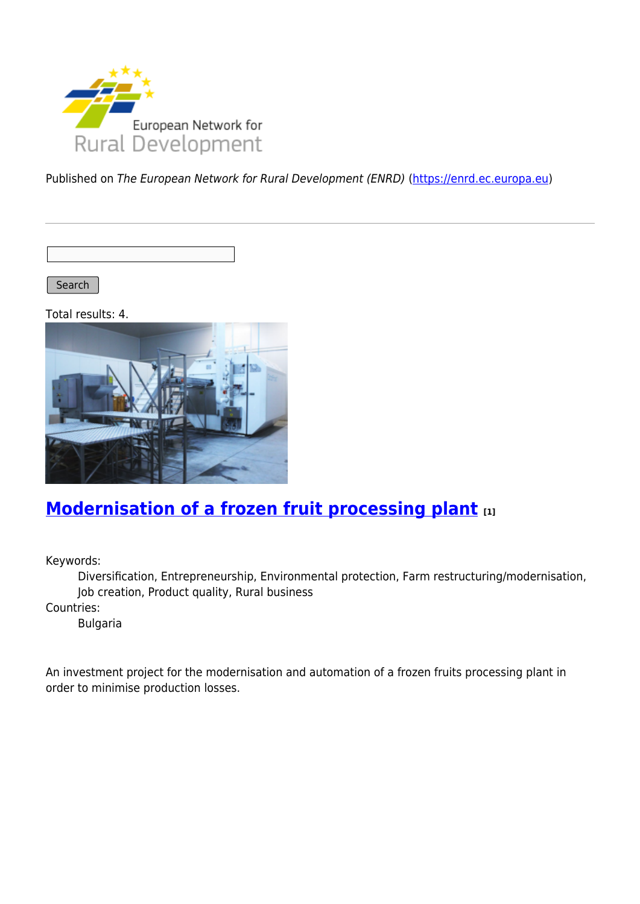

Published on The European Network for Rural Development (ENRD) [\(https://enrd.ec.europa.eu](https://enrd.ec.europa.eu))

Search |

Total results: 4.



# **[Modernisation of a frozen fruit processing plant](https://enrd.ec.europa.eu/projects-practice/modernisation-frozen-fruit-processing-plant_en) [1]**

Keywords:

Diversification, Entrepreneurship, Environmental protection, Farm restructuring/modernisation, Job creation, Product quality, Rural business

Countries:

Bulgaria

An investment project for the modernisation and automation of a frozen fruits processing plant in order to minimise production losses.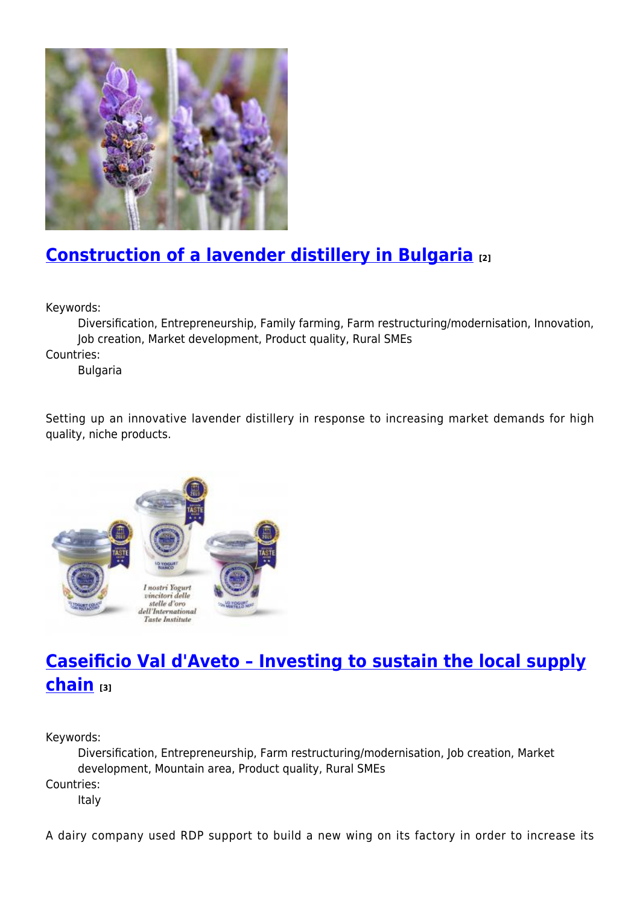

## **[Construction of a lavender distillery in Bulgaria](https://enrd.ec.europa.eu/projects-practice/construction-lavender-distillery-bulgaria_en) [2]**

Keywords:

Diversification, Entrepreneurship, Family farming, Farm restructuring/modernisation, Innovation, Job creation, Market development, Product quality, Rural SMEs

Countries:

Bulgaria

Setting up an innovative lavender distillery in response to increasing market demands for high quality, niche products.



# **[Caseificio Val d'Aveto – Investing to sustain the local supply](https://enrd.ec.europa.eu/projects-practice/caseificio-val-daveto-investing-sustain-local-supply-chain_en) [chain](https://enrd.ec.europa.eu/projects-practice/caseificio-val-daveto-investing-sustain-local-supply-chain_en) [3]**

Keywords:

Diversification, Entrepreneurship, Farm restructuring/modernisation, Job creation, Market development, Mountain area, Product quality, Rural SMEs Countries: Italy

A dairy company used RDP support to build a new wing on its factory in order to increase its